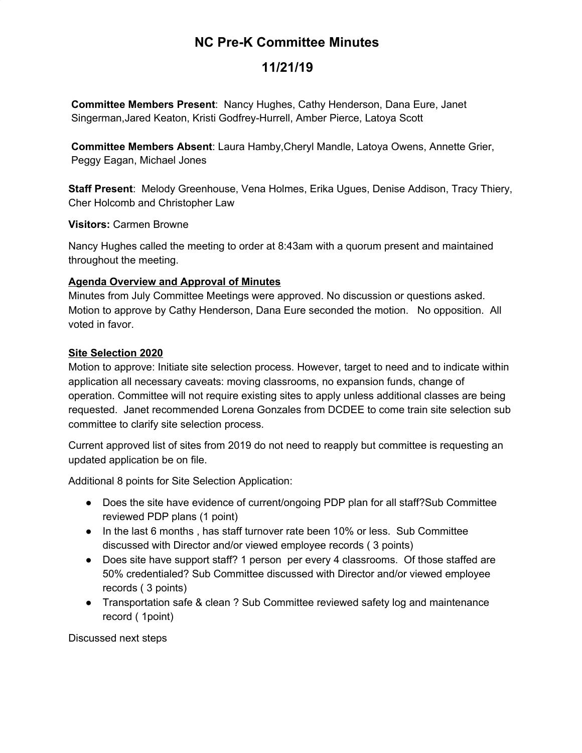# **NC Pre-K Committee Minutes**

## **11/21/19**

**Committee Members Present**: Nancy Hughes, Cathy Henderson, Dana Eure, Janet Singerman,Jared Keaton, Kristi Godfrey-Hurrell, Amber Pierce, Latoya Scott

**Committee Members Absent**: Laura Hamby,Cheryl Mandle, Latoya Owens, Annette Grier, Peggy Eagan, Michael Jones

**Staff Present**: Melody Greenhouse, Vena Holmes, Erika Ugues, Denise Addison, Tracy Thiery, Cher Holcomb and Christopher Law

**Visitors:** Carmen Browne

Nancy Hughes called the meeting to order at 8:43am with a quorum present and maintained throughout the meeting.

#### **Agenda Overview and Approval of Minutes**

Minutes from July Committee Meetings were approved. No discussion or questions asked. Motion to approve by Cathy Henderson, Dana Eure seconded the motion. No opposition. All voted in favor.

#### **Site Selection 2020**

Motion to approve: Initiate site selection process. However, target to need and to indicate within application all necessary caveats: moving classrooms, no expansion funds, change of operation. Committee will not require existing sites to apply unless additional classes are being requested. Janet recommended Lorena Gonzales from DCDEE to come train site selection sub committee to clarify site selection process.

Current approved list of sites from 2019 do not need to reapply but committee is requesting an updated application be on file.

Additional 8 points for Site Selection Application:

- Does the site have evidence of current/ongoing PDP plan for all staff? Sub Committee reviewed PDP plans (1 point)
- In the last 6 months , has staff turnover rate been 10% or less. Sub Committee discussed with Director and/or viewed employee records ( 3 points)
- Does site have support staff? 1 person per every 4 classrooms. Of those staffed are 50% credentialed? Sub Committee discussed with Director and/or viewed employee records ( 3 points)
- Transportation safe & clean ? Sub Committee reviewed safety log and maintenance record ( 1point)

Discussed next steps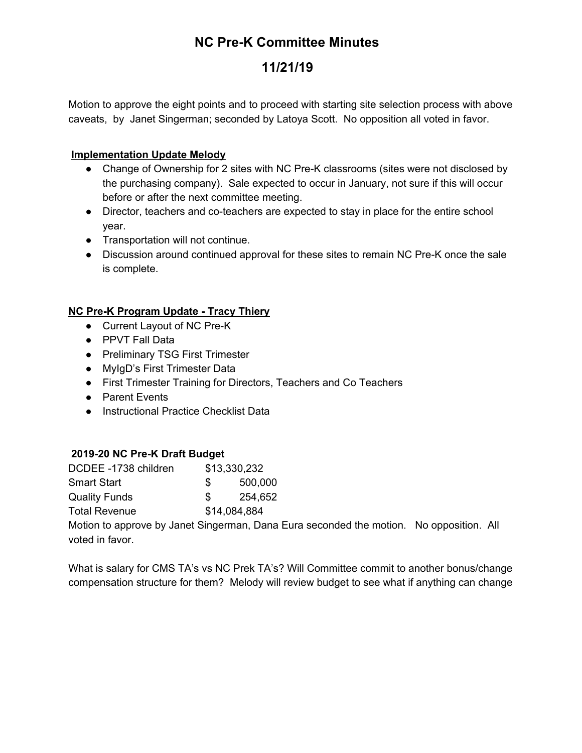# **NC Pre-K Committee Minutes**

# **11/21/19**

Motion to approve the eight points and to proceed with starting site selection process with above caveats, by Janet Singerman; seconded by Latoya Scott. No opposition all voted in favor.

### **Implementation Update Melody**

- Change of Ownership for 2 sites with NC Pre-K classrooms (sites were not disclosed by the purchasing company). Sale expected to occur in January, not sure if this will occur before or after the next committee meeting.
- Director, teachers and co-teachers are expected to stay in place for the entire school year.
- Transportation will not continue.
- Discussion around continued approval for these sites to remain NC Pre-K once the sale is complete.

## **NC Pre-K Program Update - Tracy Thiery**

- Current Layout of NC Pre-K
- PPVT Fall Data
- Preliminary TSG First Trimester
- MylgD's First Trimester Data
- First Trimester Training for Directors, Teachers and Co Teachers
- Parent Events
- Instructional Practice Checklist Data

### **2019-20 NC Pre-K Draft Budget**

| DCDEE -1738 children | \$13,330,232 |         |
|----------------------|--------------|---------|
| <b>Smart Start</b>   | SS.          | 500,000 |
| <b>Quality Funds</b> | \$.          | 254,652 |
| <b>Total Revenue</b> | \$14,084,884 |         |

Motion to approve by Janet Singerman, Dana Eura seconded the motion. No opposition. All voted in favor.

What is salary for CMS TA's vs NC Prek TA's? Will Committee commit to another bonus/change compensation structure for them? Melody will review budget to see what if anything can change